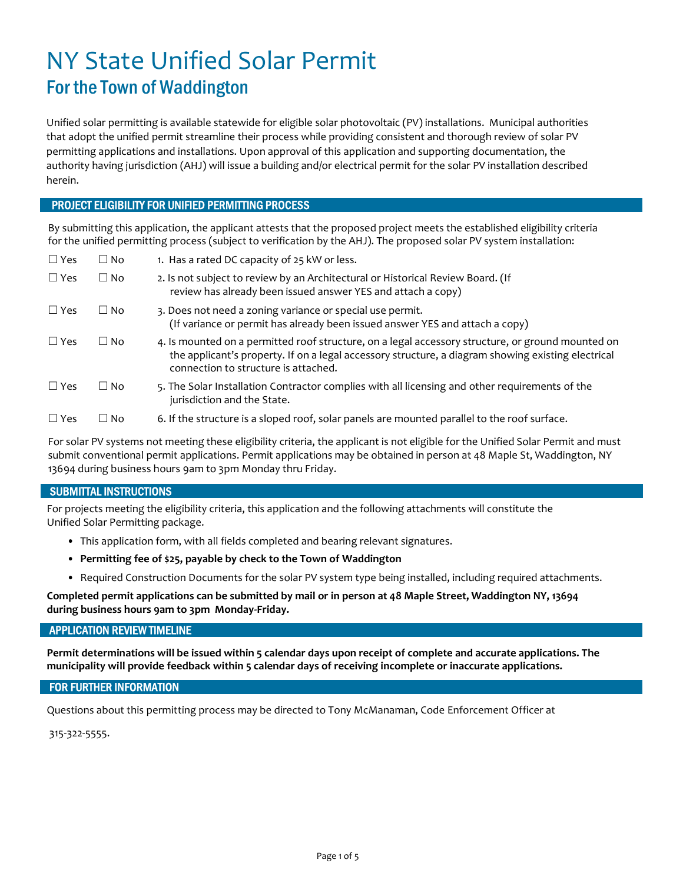## NY State Unified Solar Permit For the Town of Waddington

Unified solar permitting is available statewide for eligible solar photovoltaic (PV) installations. Municipal authorities that adopt the unified permit streamline their process while providing consistent and thorough review of solar PV permitting applications and installations. Upon approval of this application and supporting documentation, the authority having jurisdiction (AHJ) will issue a building and/or electrical permit for the solar PV installation described herein.

#### PROJECT ELIGIBILITY FOR UNIFIED PERMITTING PROCESS

By submitting this application, the applicant attests that the proposed project meets the established eligibility criteria for the unified permitting process (subject to verification by the AHJ). The proposed solar PV system installation:

| $\square$ Yes | $\Box$ No | 1. Has a rated DC capacity of 25 kW or less.                                                                                                                                                                                                    |
|---------------|-----------|-------------------------------------------------------------------------------------------------------------------------------------------------------------------------------------------------------------------------------------------------|
| $\Box$ Yes    | $\Box$ No | 2. Is not subject to review by an Architectural or Historical Review Board. (If<br>review has already been issued answer YES and attach a copy)                                                                                                 |
| $\Box$ Yes    | $\Box$ No | 3. Does not need a zoning variance or special use permit.<br>(If variance or permit has already been issued answer YES and attach a copy)                                                                                                       |
| $\Box$ Yes    | $\Box$ No | 4. Is mounted on a permitted roof structure, on a legal accessory structure, or ground mounted on<br>the applicant's property. If on a legal accessory structure, a diagram showing existing electrical<br>connection to structure is attached. |
| $\Box$ Yes    | $\Box$ No | 5. The Solar Installation Contractor complies with all licensing and other requirements of the<br>jurisdiction and the State.                                                                                                                   |
| $\Box$ Yes    | $\Box$ No | 6. If the structure is a sloped roof, solar panels are mounted parallel to the roof surface.                                                                                                                                                    |

For solar PV systems not meeting these eligibility criteria, the applicant is not eligible for the Unified Solar Permit and must submit conventional permit applications. Permit applications may be obtained in person at 48 Maple St, Waddington, NY 13694 during business hours 9am to 3pm Monday thru Friday.

#### SUBMITTAL INSTRUCTIONS

For projects meeting the eligibility criteria, this application and the following attachments will constitute the Unified Solar Permitting package.

- This application form, with all fields completed and bearing relevant signatures.
- Permitting fee of \$25, payable by check to the Town of Waddington
- Required Construction Documents for the solar PV system type being installed, including required attachments.

Completed permit applications can be submitted by mail or in person at 48 Maple Street, Waddington NY, 13694 during business hours 9am to 3pm Monday-Friday.

#### APPLICATION REVIEW TIMELINE

Permit determinations will be issued within 5 calendar days upon receipt of complete and accurate applications. The municipality will provide feedback within 5 calendar days of receiving incomplete or inaccurate applications.

#### FOR FURTHER INFORMATION

Questions about this permitting process may be directed to Tony McManaman, Code Enforcement Officer at

315-322-5555.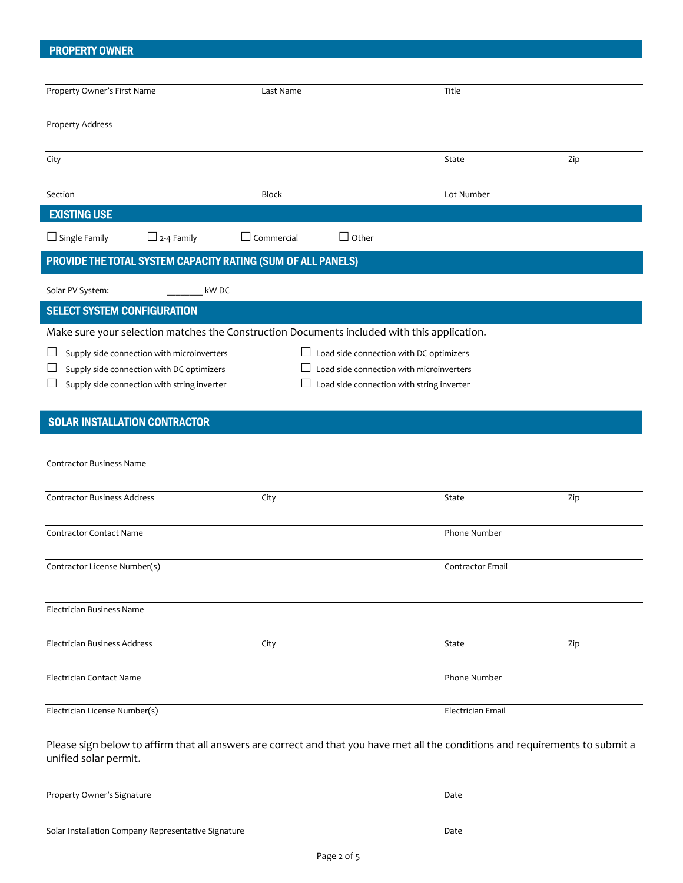### PROPERTY OWNER

| Property Owner's First Name                                                                                                    | Last Name         |                                           | Title             |     |  |  |  |
|--------------------------------------------------------------------------------------------------------------------------------|-------------------|-------------------------------------------|-------------------|-----|--|--|--|
| <b>Property Address</b>                                                                                                        |                   |                                           |                   |     |  |  |  |
|                                                                                                                                |                   |                                           |                   |     |  |  |  |
| City                                                                                                                           |                   |                                           | State             | Zip |  |  |  |
|                                                                                                                                |                   |                                           |                   |     |  |  |  |
| Section                                                                                                                        | <b>Block</b>      |                                           | Lot Number        |     |  |  |  |
| <b>EXISTING USE</b>                                                                                                            |                   |                                           |                   |     |  |  |  |
| $\Box$ Single Family<br>$\Box$ 2-4 Family                                                                                      | $\Box$ Commercial | $\Box$ Other                              |                   |     |  |  |  |
| PROVIDE THE TOTAL SYSTEM CAPACITY RATING (SUM OF ALL PANELS)                                                                   |                   |                                           |                   |     |  |  |  |
| Solar PV System:<br>kW DC                                                                                                      |                   |                                           |                   |     |  |  |  |
| <b>SELECT SYSTEM CONFIGURATION</b>                                                                                             |                   |                                           |                   |     |  |  |  |
| Make sure your selection matches the Construction Documents included with this application.                                    |                   |                                           |                   |     |  |  |  |
| $\Box$ Load side connection with DC optimizers<br>Supply side connection with microinverters                                   |                   |                                           |                   |     |  |  |  |
| Load side connection with microinverters<br>Supply side connection with DC optimizers<br>$\Box$                                |                   |                                           |                   |     |  |  |  |
| Supply side connection with string inverter                                                                                    |                   | Load side connection with string inverter |                   |     |  |  |  |
|                                                                                                                                |                   |                                           |                   |     |  |  |  |
| <b>SOLAR INSTALLATION CONTRACTOR</b>                                                                                           |                   |                                           |                   |     |  |  |  |
|                                                                                                                                |                   |                                           |                   |     |  |  |  |
| <b>Contractor Business Name</b>                                                                                                |                   |                                           |                   |     |  |  |  |
|                                                                                                                                |                   |                                           |                   |     |  |  |  |
| <b>Contractor Business Address</b>                                                                                             | City              |                                           | State             | Zip |  |  |  |
|                                                                                                                                |                   |                                           |                   |     |  |  |  |
| <b>Contractor Contact Name</b>                                                                                                 |                   |                                           | Phone Number      |     |  |  |  |
| Contractor License Number(s)                                                                                                   |                   |                                           | Contractor Email  |     |  |  |  |
|                                                                                                                                |                   |                                           |                   |     |  |  |  |
| Electrician Business Name                                                                                                      |                   |                                           |                   |     |  |  |  |
|                                                                                                                                |                   |                                           |                   |     |  |  |  |
| Electrician Business Address                                                                                                   | City              |                                           | State             | Zip |  |  |  |
|                                                                                                                                |                   |                                           |                   |     |  |  |  |
| Electrician Contact Name                                                                                                       |                   |                                           | Phone Number      |     |  |  |  |
| Electrician License Number(s)                                                                                                  |                   |                                           | Electrician Email |     |  |  |  |
|                                                                                                                                |                   |                                           |                   |     |  |  |  |
| Please sign below to affirm that all answers are correct and that you have met all the conditions and requirements to submit a |                   |                                           |                   |     |  |  |  |
| unified solar permit.                                                                                                          |                   |                                           |                   |     |  |  |  |
|                                                                                                                                |                   |                                           |                   |     |  |  |  |

Solar Installation Company Representative Signature data and the Date Date

Property Owner's Signature **Date**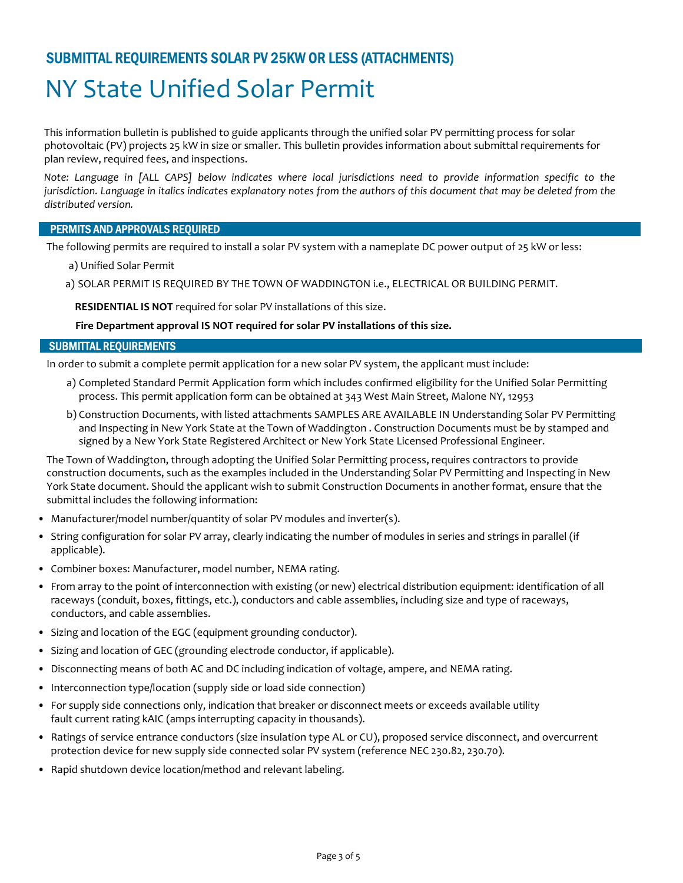## SUBMITTAL REQUIREMENTS SOLAR PV 25KW OR LESS (ATTACHMENTS)

# NY State Unified Solar Permit

This information bulletin is published to guide applicants through the unified solar PV permitting process for solar photovoltaic (PV) projects 25 kW in size or smaller. This bulletin provides information about submittal requirements for plan review, required fees, and inspections.

Note: Language in [ALL CAPS] below indicates where local jurisdictions need to provide information specific to the jurisdiction. Language in italics indicates explanatory notes from the authors of this document that may be deleted from the distributed version.

#### PERMITS AND APPROVALS REQUIRED

The following permits are required to install a solar PV system with a nameplate DC power output of 25 kW or less:

- a) Unified Solar Permit
- a) SOLAR PERMIT IS REQUIRED BY THE TOWN OF WADDINGTON i.e., ELECTRICAL OR BUILDING PERMIT.

RESIDENTIAL IS NOT required for solar PV installations of this size.

#### Fire Department approval IS NOT required for solar PV installations of this size.

#### SUBMITTAL REQUIREMENTS

In order to submit a complete permit application for a new solar PV system, the applicant must include:

- a) Completed Standard Permit Application form which includes confirmed eligibility for the Unified Solar Permitting process. This permit application form can be obtained at 343 West Main Street, Malone NY, 12953
- b) Construction Documents, with listed attachments SAMPLES ARE AVAILABLE IN Understanding Solar PV Permitting and Inspecting in New York State at the Town of Waddington . Construction Documents must be by stamped and signed by a New York State Registered Architect or New York State Licensed Professional Engineer.

The Town of Waddington, through adopting the Unified Solar Permitting process, requires contractors to provide construction documents, such as the examples included in the Understanding Solar PV Permitting and Inspecting in New York State document. Should the applicant wish to submit Construction Documents in another format, ensure that the submittal includes the following information:

- Manufacturer/model number/quantity of solar PV modules and inverter(s).
- String configuration for solar PV array, clearly indicating the number of modules in series and strings in parallel (if applicable).
- Combiner boxes: Manufacturer, model number, NEMA rating.
- From array to the point of interconnection with existing (or new) electrical distribution equipment: identification of all raceways (conduit, boxes, fittings, etc.), conductors and cable assemblies, including size and type of raceways, conductors, and cable assemblies.
- Sizing and location of the EGC (equipment grounding conductor).
- Sizing and location of GEC (grounding electrode conductor, if applicable).
- Disconnecting means of both AC and DC including indication of voltage, ampere, and NEMA rating.
- Interconnection type/location (supply side or load side connection)
- For supply side connections only, indication that breaker or disconnect meets or exceeds available utility fault current rating kAIC (amps interrupting capacity in thousands).
- Ratings of service entrance conductors (size insulation type AL or CU), proposed service disconnect, and overcurrent protection device for new supply side connected solar PV system (reference NEC 230.82, 230.70).
- Rapid shutdown device location/method and relevant labeling.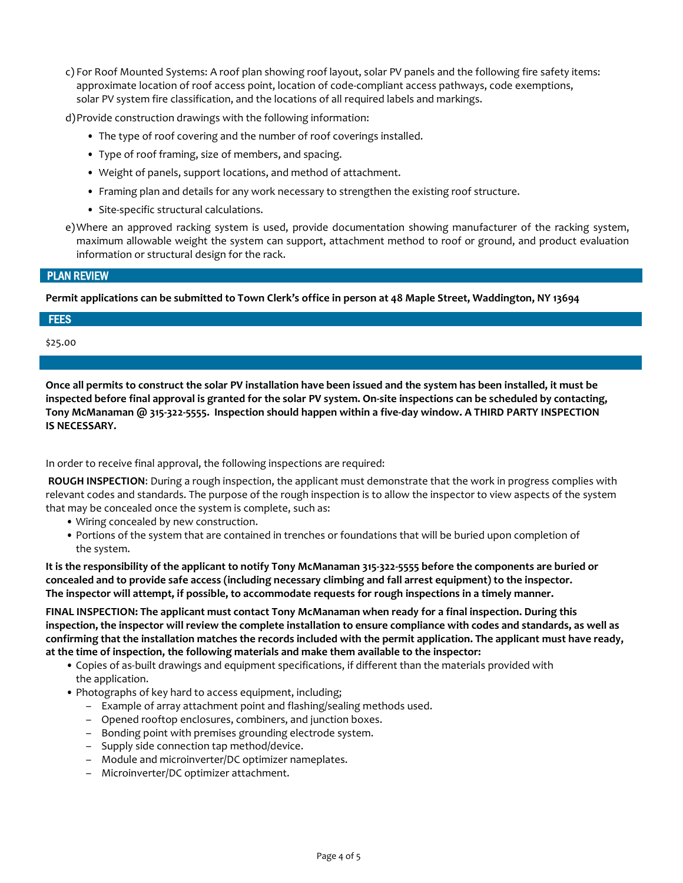c) For Roof Mounted Systems: A roof plan showing roof layout, solar PV panels and the following fire safety items: approximate location of roof access point, location of code-compliant access pathways, code exemptions, solar PV system fire classification, and the locations of all required labels and markings.

d)Provide construction drawings with the following information:

- The type of roof covering and the number of roof coverings installed.
- Type of roof framing, size of members, and spacing.
- Weight of panels, support locations, and method of attachment.
- Framing plan and details for any work necessary to strengthen the existing roof structure.
- Site-specific structural calculations.
- e)Where an approved racking system is used, provide documentation showing manufacturer of the racking system, maximum allowable weight the system can support, attachment method to roof or ground, and product evaluation information or structural design for the rack.

#### PLAN REVIEW

Permit applications can be submitted to Town Clerk's office in person at 48 Maple Street, Waddington, NY 13694

#### **FEES**

\$25.00

Once all permits to construct the solar PV installation have been issued and the system has been installed, it must be inspected before final approval is granted for the solar PV system. On-site inspections can be scheduled by contacting, Tony McManaman @ 315-322-5555. Inspection should happen within a five-day window. A THIRD PARTY INSPECTION IS NECESSARY.

In order to receive final approval, the following inspections are required:

 ROUGH INSPECTION: During a rough inspection, the applicant must demonstrate that the work in progress complies with relevant codes and standards. The purpose of the rough inspection is to allow the inspector to view aspects of the system that may be concealed once the system is complete, such as:

- Wiring concealed by new construction.
- Portions of the system that are contained in trenches or foundations that will be buried upon completion of the system.

It is the responsibility of the applicant to notify Tony McManaman 315-322-5555 before the components are buried or concealed and to provide safe access (including necessary climbing and fall arrest equipment) to the inspector. The inspector will attempt, if possible, to accommodate requests for rough inspections in a timely manner.

FINAL INSPECTION: The applicant must contact Tony McManaman when ready for a final inspection. During this inspection, the inspector will review the complete installation to ensure compliance with codes and standards, as well as confirming that the installation matches the records included with the permit application. The applicant must have ready, at the time of inspection, the following materials and make them available to the inspector:

- Copies of as-built drawings and equipment specifications, if different than the materials provided with the application.
- Photographs of key hard to access equipment, including;
	- Example of array attachment point and flashing/sealing methods used.
	- Opened rooftop enclosures, combiners, and junction boxes.
	- Bonding point with premises grounding electrode system.
	- Supply side connection tap method/device.
	- Module and microinverter/DC optimizer nameplates.
	- Microinverter/DC optimizer attachment.